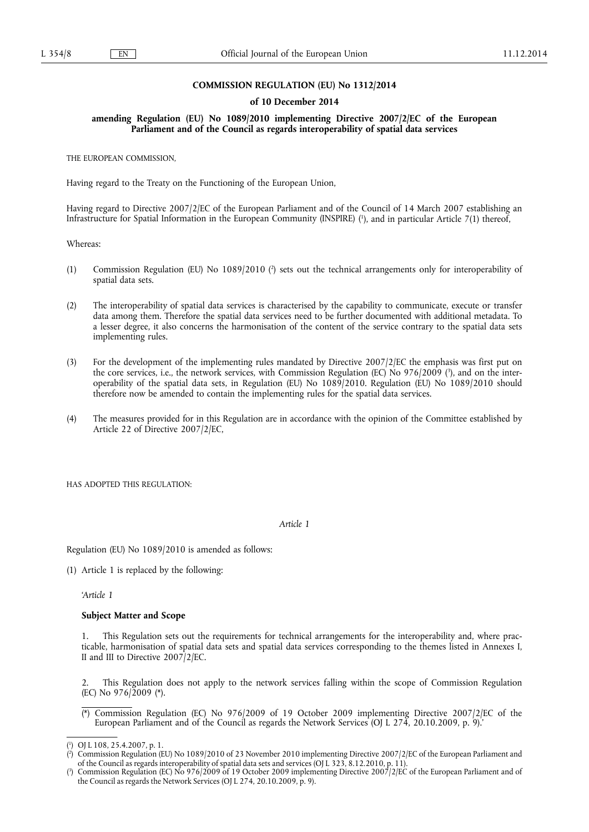## **COMMISSION REGULATION (EU) No 1312/2014**

### **of 10 December 2014**

**amending Regulation (EU) No 1089/2010 implementing Directive 2007/2/EC of the European Parliament and of the Council as regards interoperability of spatial data services** 

THE EUROPEAN COMMISSION,

Having regard to the Treaty on the Functioning of the European Union,

Having regard to Directive 2007/2/EC of the European Parliament and of the Council of 14 March 2007 establishing an Infrastructure for Spatial Information in the European Community (INSPIRE) ( 1 ), and in particular Article 7(1) thereof,

Whereas:

- (1) Commission Regulation (EU) No 1089/2010 (?) sets out the technical arrangements only for interoperability of spatial data sets.
- (2) The interoperability of spatial data services is characterised by the capability to communicate, execute or transfer data among them. Therefore the spatial data services need to be further documented with additional metadata. To a lesser degree, it also concerns the harmonisation of the content of the service contrary to the spatial data sets implementing rules.
- (3) For the development of the implementing rules mandated by Directive 2007/2/EC the emphasis was first put on the core services, i.e., the network services, with Commission Regulation (EC) No 976/2009 ( 3 ), and on the interoperability of the spatial data sets, in Regulation (EU) No 1089/2010. Regulation (EU) No 1089/2010 should therefore now be amended to contain the implementing rules for the spatial data services.
- (4) The measures provided for in this Regulation are in accordance with the opinion of the Committee established by Article 22 of Directive 2007/2/EC,

HAS ADOPTED THIS REGULATION.

## *Article 1*

Regulation (EU) No 1089/2010 is amended as follows:

(1) Article 1 is replaced by the following:

*'Article 1* 

### **Subject Matter and Scope**

This Regulation sets out the requirements for technical arrangements for the interoperability and, where practicable, harmonisation of spatial data sets and spatial data services corresponding to the themes listed in Annexes I, II and III to Directive 2007/2/EC.

2. This Regulation does not apply to the network services falling within the scope of Commission Regulation (EC) No 976/2009 (\*).

(\*) Commission Regulation (EC) No 976/2009 of 19 October 2009 implementing Directive 2007/2/EC of the European Parliament and of the Council as regards the Network Services (OJ L 274, 20.10.2009, p. 9).'

<sup>(</sup> 1 ) OJ L 108, 25.4.2007, p. 1.

<sup>(</sup> 2 ) Commission Regulation (EU) No 1089/2010 of 23 November 2010 implementing Directive 2007/2/EC of the European Parliament and of the Council as regards interoperability of spatial data sets and services (OJ L 323, 8.12.2010, p. 11).

<sup>(</sup> 3 ) Commission Regulation (EC) No 976/2009 of 19 October 2009 implementing Directive 2007/2/EC of the European Parliament and of the Council as regards the Network Services (OJ L 274, 20.10.2009, p. 9).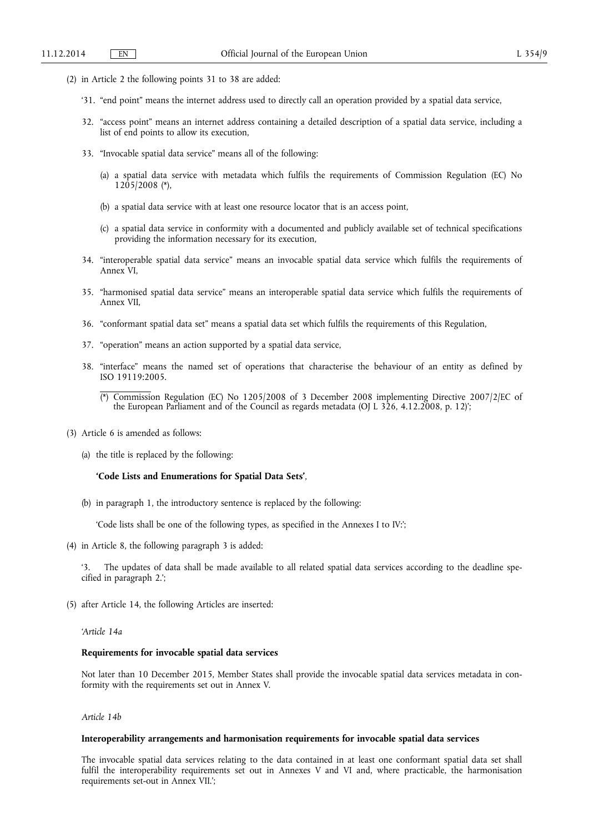- (2) in Article 2 the following points 31 to 38 are added:
	- '31. "end point" means the internet address used to directly call an operation provided by a spatial data service,
	- 32. "access point" means an internet address containing a detailed description of a spatial data service, including a list of end points to allow its execution,
	- 33. "Invocable spatial data service" means all of the following:
		- (a) a spatial data service with metadata which fulfils the requirements of Commission Regulation (EC) No 1205/2008 (\*),
		- (b) a spatial data service with at least one resource locator that is an access point,
		- (c) a spatial data service in conformity with a documented and publicly available set of technical specifications providing the information necessary for its execution,
	- 34. "interoperable spatial data service" means an invocable spatial data service which fulfils the requirements of Annex VI,
	- 35. "harmonised spatial data service" means an interoperable spatial data service which fulfils the requirements of Annex VII,
	- 36. "conformant spatial data set" means a spatial data set which fulfils the requirements of this Regulation,
	- 37. "operation" means an action supported by a spatial data service,
	- 38. "interface" means the named set of operations that characterise the behaviour of an entity as defined by ISO 19119:2005.
		- (\*) Commission Regulation (EC) No 1205/2008 of 3 December 2008 implementing Directive 2007/2/EC of the European Parliament and of the Council as regards metadata (OJ L 326, 4.12.2008, p. 12)';
- (3) Article 6 is amended as follows:
	- (a) the title is replaced by the following:

#### **'Code Lists and Enumerations for Spatial Data Sets'**,

(b) in paragraph 1, the introductory sentence is replaced by the following:

'Code lists shall be one of the following types, as specified in the Annexes I to IV:';

(4) in Article 8, the following paragraph 3 is added:

'3. The updates of data shall be made available to all related spatial data services according to the deadline specified in paragraph 2.';

(5) after Article 14, the following Articles are inserted:

## *'Article 14a*

## **Requirements for invocable spatial data services**

Not later than 10 December 2015, Member States shall provide the invocable spatial data services metadata in conformity with the requirements set out in Annex V.

*Article 14b* 

## **Interoperability arrangements and harmonisation requirements for invocable spatial data services**

The invocable spatial data services relating to the data contained in at least one conformant spatial data set shall fulfil the interoperability requirements set out in Annexes V and VI and, where practicable, the harmonisation requirements set-out in Annex VII.';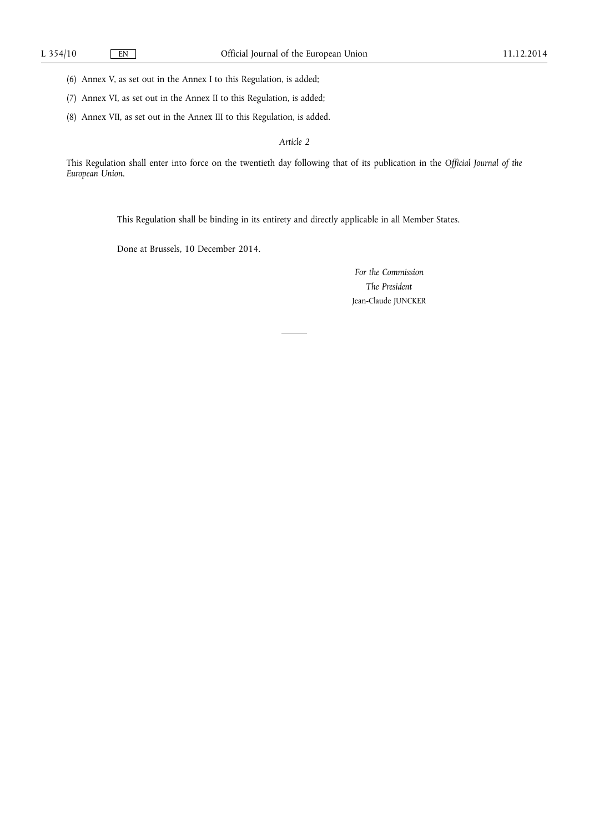(6) Annex V, as set out in the Annex I to this Regulation, is added;

- (7) Annex VI, as set out in the Annex II to this Regulation, is added;
- (8) Annex VII, as set out in the Annex III to this Regulation, is added.

*Article 2* 

This Regulation shall enter into force on the twentieth day following that of its publication in the *Official Journal of the European Union*.

This Regulation shall be binding in its entirety and directly applicable in all Member States.

Done at Brussels, 10 December 2014.

*For the Commission The President*  Jean-Claude JUNCKER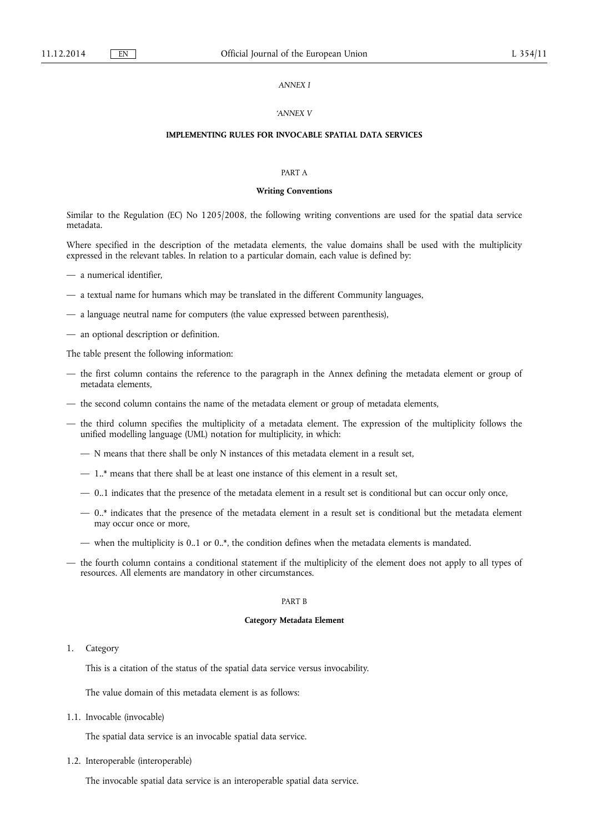## *ANNEX I*

### *'ANNEX V*

## **IMPLEMENTING RULES FOR INVOCABLE SPATIAL DATA SERVICES**

### PART A

### **Writing Conventions**

Similar to the Regulation (EC) No 1205/2008, the following writing conventions are used for the spatial data service metadata.

Where specified in the description of the metadata elements, the value domains shall be used with the multiplicity expressed in the relevant tables. In relation to a particular domain, each value is defined by:

- a numerical identifier,
- a textual name for humans which may be translated in the different Community languages,
- a language neutral name for computers (the value expressed between parenthesis),
- an optional description or definition.

The table present the following information:

- the first column contains the reference to the paragraph in the Annex defining the metadata element or group of metadata elements,
- the second column contains the name of the metadata element or group of metadata elements,
- the third column specifies the multiplicity of a metadata element. The expression of the multiplicity follows the unified modelling language (UML) notation for multiplicity, in which:
	- N means that there shall be only N instances of this metadata element in a result set,
	- 1..\* means that there shall be at least one instance of this element in a result set,
	- 0..1 indicates that the presence of the metadata element in a result set is conditional but can occur only once,
	- $-$  0..\* indicates that the presence of the metadata element in a result set is conditional but the metadata element may occur once or more,
	- when the multiplicity is 0..1 or 0..\*, the condition defines when the metadata elements is mandated.
- the fourth column contains a conditional statement if the multiplicity of the element does not apply to all types of resources. All elements are mandatory in other circumstances.

## PART B

#### **Category Metadata Element**

### 1. Category

This is a citation of the status of the spatial data service versus invocability.

The value domain of this metadata element is as follows:

1.1. Invocable (invocable)

The spatial data service is an invocable spatial data service.

1.2. Interoperable (interoperable)

The invocable spatial data service is an interoperable spatial data service.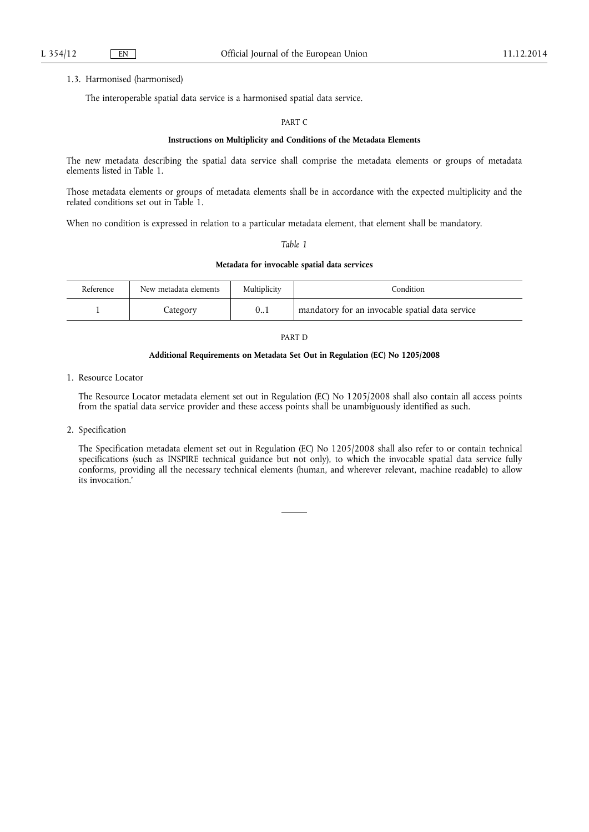### 1.3. Harmonised (harmonised)

The interoperable spatial data service is a harmonised spatial data service.

## PART C

## **Instructions on Multiplicity and Conditions of the Metadata Elements**

The new metadata describing the spatial data service shall comprise the metadata elements or groups of metadata elements listed in Table 1.

Those metadata elements or groups of metadata elements shall be in accordance with the expected multiplicity and the related conditions set out in Table 1.

When no condition is expressed in relation to a particular metadata element, that element shall be mandatory.

# *Table 1*

## **Metadata for invocable spatial data services**

| Reference | New metadata elements | Multiplicity | Condition                                       |
|-----------|-----------------------|--------------|-------------------------------------------------|
|           | Lategory              | 0.1          | mandatory for an invocable spatial data service |

### PART D

## **Additional Requirements on Metadata Set Out in Regulation (EC) No 1205/2008**

1. Resource Locator

The Resource Locator metadata element set out in Regulation (EC) No 1205/2008 shall also contain all access points from the spatial data service provider and these access points shall be unambiguously identified as such.

2. Specification

The Specification metadata element set out in Regulation (EC) No 1205/2008 shall also refer to or contain technical specifications (such as INSPIRE technical guidance but not only), to which the invocable spatial data service fully conforms, providing all the necessary technical elements (human, and wherever relevant, machine readable) to allow its invocation.'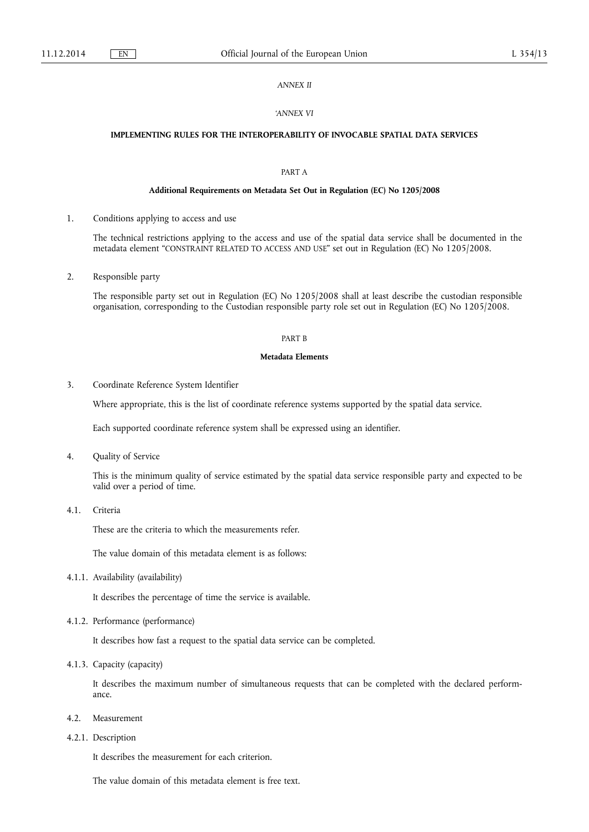# *ANNEX II*

### *'ANNEX VI*

# **IMPLEMENTING RULES FOR THE INTEROPERABILITY OF INVOCABLE SPATIAL DATA SERVICES**

# PART A

### **Additional Requirements on Metadata Set Out in Regulation (EC) No 1205/2008**

1. Conditions applying to access and use

The technical restrictions applying to the access and use of the spatial data service shall be documented in the metadata element "CONSTRAINT RELATED TO ACCESS AND USE" set out in Regulation (EC) No 1205/2008.

2. Responsible party

The responsible party set out in Regulation (EC) No 1205/2008 shall at least describe the custodian responsible organisation, corresponding to the Custodian responsible party role set out in Regulation (EC) No 1205/2008.

### PART B

#### **Metadata Elements**

3. Coordinate Reference System Identifier

Where appropriate, this is the list of coordinate reference systems supported by the spatial data service.

Each supported coordinate reference system shall be expressed using an identifier.

4. Quality of Service

This is the minimum quality of service estimated by the spatial data service responsible party and expected to be valid over a period of time.

4.1. Criteria

These are the criteria to which the measurements refer.

The value domain of this metadata element is as follows:

4.1.1. Availability (availability)

It describes the percentage of time the service is available.

4.1.2. Performance (performance)

It describes how fast a request to the spatial data service can be completed.

4.1.3. Capacity (capacity)

It describes the maximum number of simultaneous requests that can be completed with the declared performance.

- 4.2. Measurement
- 4.2.1. Description

It describes the measurement for each criterion.

The value domain of this metadata element is free text.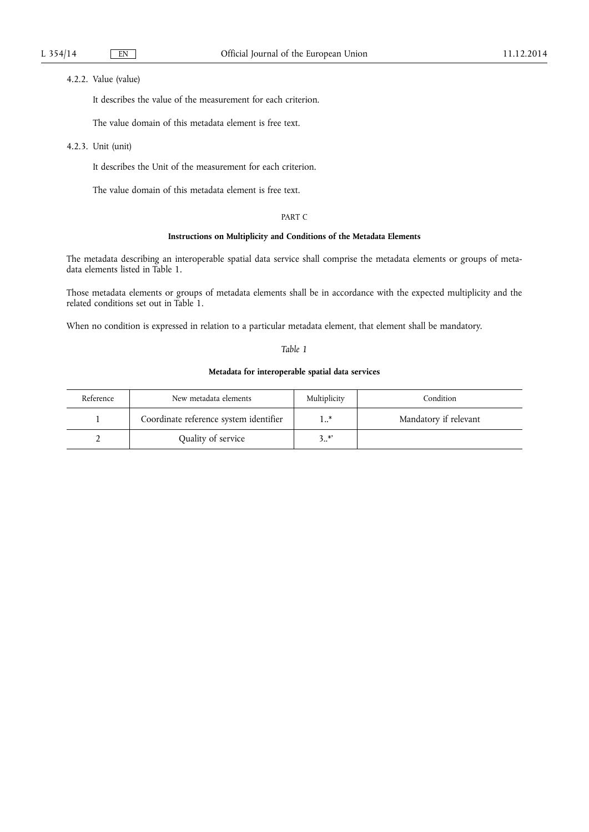# 4.2.2. Value (value)

It describes the value of the measurement for each criterion.

The value domain of this metadata element is free text.

4.2.3. Unit (unit)

It describes the Unit of the measurement for each criterion.

The value domain of this metadata element is free text.

## PART C

# **Instructions on Multiplicity and Conditions of the Metadata Elements**

The metadata describing an interoperable spatial data service shall comprise the metadata elements or groups of metadata elements listed in Table 1.

Those metadata elements or groups of metadata elements shall be in accordance with the expected multiplicity and the related conditions set out in Table 1.

When no condition is expressed in relation to a particular metadata element, that element shall be mandatory.

## *Table 1*

# **Metadata for interoperable spatial data services**

| Reference | New metadata elements                  | Multiplicity | Condition             |
|-----------|----------------------------------------|--------------|-----------------------|
|           | Coordinate reference system identifier | 1 *          | Mandatory if relevant |
|           | Quality of service                     | $3.^{*}$     |                       |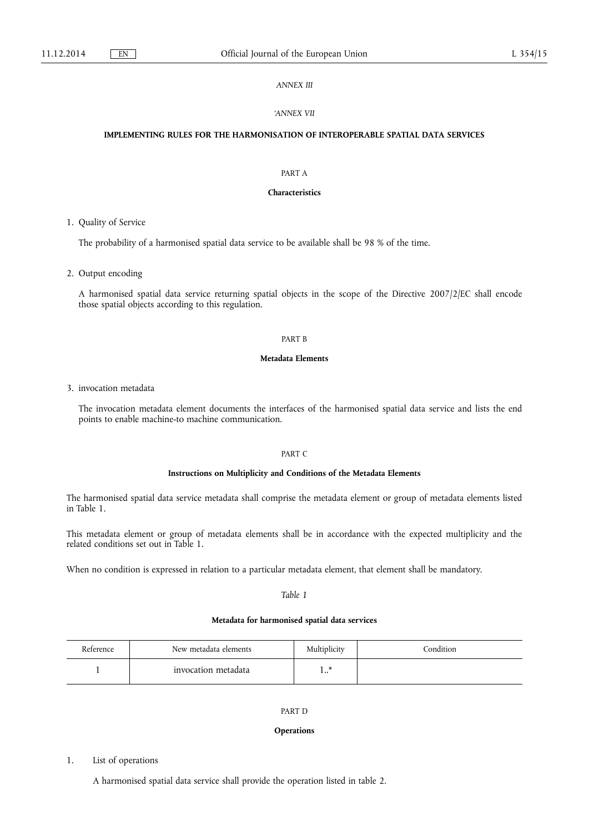## *ANNEX III*

### *'ANNEX VII*

# **IMPLEMENTING RULES FOR THE HARMONISATION OF INTEROPERABLE SPATIAL DATA SERVICES**

# PART A

# **Characteristics**

1. Quality of Service

The probability of a harmonised spatial data service to be available shall be 98 % of the time.

2. Output encoding

A harmonised spatial data service returning spatial objects in the scope of the Directive 2007/2/EC shall encode those spatial objects according to this regulation.

### PART B

## **Metadata Elements**

3. invocation metadata

The invocation metadata element documents the interfaces of the harmonised spatial data service and lists the end points to enable machine-to machine communication.

# PART C

## **Instructions on Multiplicity and Conditions of the Metadata Elements**

The harmonised spatial data service metadata shall comprise the metadata element or group of metadata elements listed in Table 1.

This metadata element or group of metadata elements shall be in accordance with the expected multiplicity and the related conditions set out in Table 1.

When no condition is expressed in relation to a particular metadata element, that element shall be mandatory.

*Table 1* 

# **Metadata for harmonised spatial data services**

| Reference | New metadata elements | Multiplicity | Condition |
|-----------|-----------------------|--------------|-----------|
|           | invocation metadata   |              |           |

# PART D

### **Operations**

# 1. List of operations

A harmonised spatial data service shall provide the operation listed in table 2.